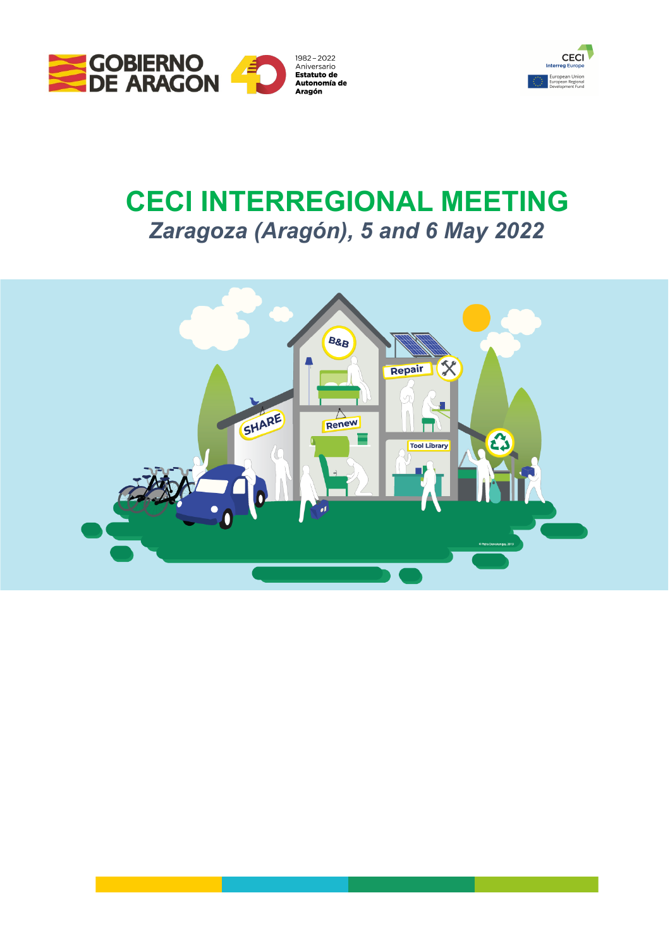



# **CECI INTERREGIONAL MEETING** *Zaragoza (Aragón), 5 and 6 May 2022*

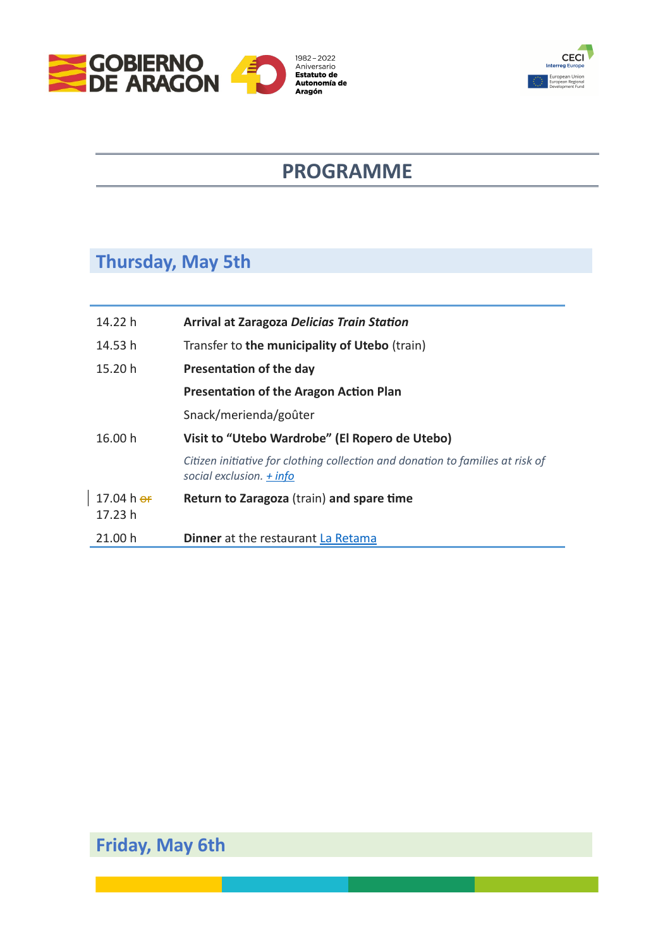



## **PROGRAMME**

### **Thursday, May 5th**

 $\overline{\phantom{a}}$ 

| 14.22 h            | <b>Arrival at Zaragoza Delicias Train Station</b>                                                            |
|--------------------|--------------------------------------------------------------------------------------------------------------|
| 14.53 h            | Transfer to the municipality of Utebo (train)                                                                |
| 15.20 h            | Presentation of the day                                                                                      |
|                    | <b>Presentation of the Aragon Action Plan</b>                                                                |
|                    | Snack/merienda/goûter                                                                                        |
| 16.00 h            | Visit to "Utebo Wardrobe" (El Ropero de Utebo)                                                               |
|                    | Citizen initiative for clothing collection and donation to families at risk of<br>social exclusion. $+$ info |
| 17.04 h $\sigma$ f | Return to Zaragoza (train) and spare time                                                                    |
| 17.23 h            |                                                                                                              |
| 21.00 h            | <b>Dinner</b> at the restaurant La Retama                                                                    |

### **Friday, May 6th**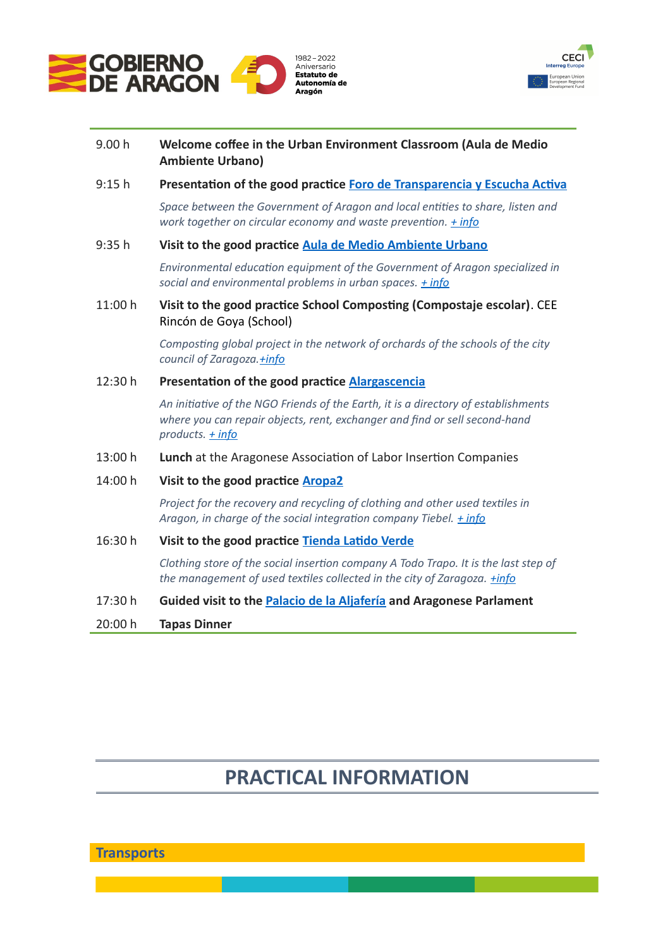



| 9.00 h | Welcome coffee in the Urban Environment Classroom (Aula de Medio |
|--------|------------------------------------------------------------------|
|        | <b>Ambiente Urbano)</b>                                          |

9:15 h **Presentation of the good practice [Foro de Transparencia y Escucha Activa](https://www.interregeurope.eu/good-practices/open-forum-for-transparency-and-active-listening-between-local-entities-and-the-government-of-aragon)**

*Space between the Government of Aragon and local entities to share, listen and work together on circular economy and waste prevention. [+ info](http://www.fororesiduosaragon.org/)*

#### 9:35 h **Visit to the good practice [Aula de Medio Ambiente Urbano](https://www.interregeurope.eu/good-practices/urban-environmental-facility-la-calle-indiscreta)**

*Environmental education equipment of the Government of Aragon specialized in social and environmental problems in urban spaces. [+ info](https://www.lacalleindiscreta.es/)*

11:00 h **Visit to the good practice School Composting (Compostaje escolar)**. CEE Rincón de Goya (School)

> *Composting global project in the network of orchards of the schools of the city council of Zaragoza[.+info](https://www.zaragoza.es/sede/portal/medioambiente/educacion-participacion/huertos-escolares/)*

#### 12:30 h **Presentation of the good practice [Alargascencia](https://www.interregeurope.eu/good-practices/alargascencia-achieving-a-sustainable-society)**

*An initiative of the NGO Friends of the Earth, it is a directory of establishments where you can repair objects, rent, exchanger and find or sell second-hand products. [+ info](https://alargascencia.org/es)*

13:00 h **Lunch** at the Aragonese Association of Labor Insertion Companies

#### 14:00 h **Visit to the good practice [Aropa2](https://aropa2.com/)**

*Project for the recovery and recycling of clothing and other used textiles in Aragon, in charge of the social integration company Tiebel. [+ info](https://aropa2.com/)*

#### 16:30 h **Visit to the good practice [Tienda Latido Verde](https://www.interregeurope.eu/good-practices/the-clothing-store-latido-verde)**

*Clothing store of the social insertion company A Todo Trapo. It is the last step of the management of used textiles collected in the city of Zaragoza. [+info](https://www.latidoverde.es/)*

#### 17:30 h **Guided visit to the [Palacio de la Aljafería](https://www.turismodearagon.com/ficha/palacio-de-la-aljaferia-zaragoza/) and Aragonese Parlament**

20:00 h **Tapas Dinner**

### **PRACTICAL INFORMATION**

**Transports**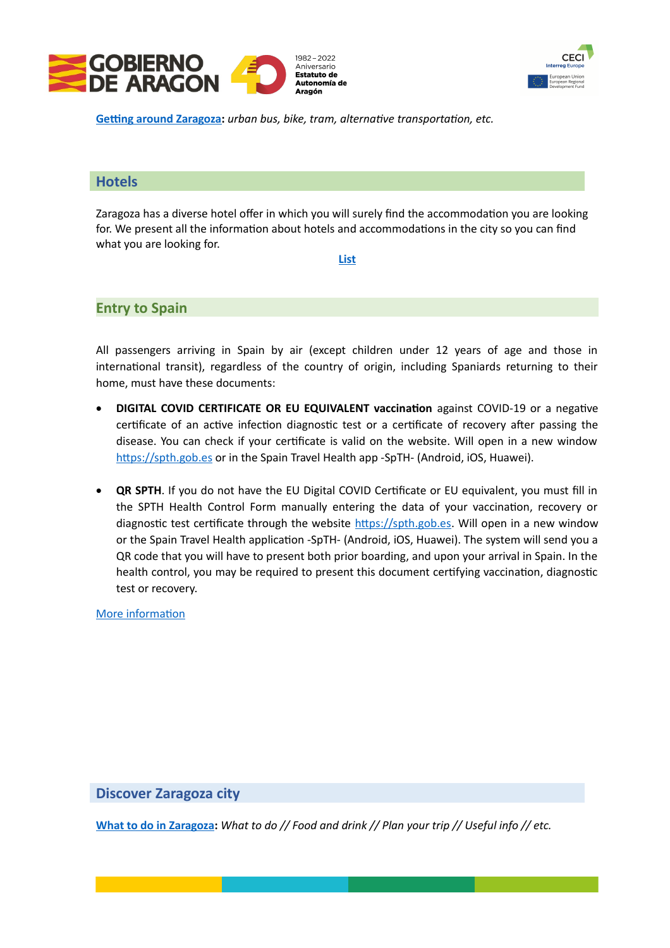



**[Getting around Zaragoza:](https://www.zaragoza.es/sede/portal/turismo/es-util/como-moverse)** *urban bus, bike, tram, alternative transportation, etc.*

#### **Hotels**

Zaragoza has a diverse hotel offer in which you will surely find the accommodation you are looking for. We present all the information about hotels and accommodations in the city so you can find what you are looking for.

#### **[List](https://www.zaragoza.es/sede/portal/turismo/servicio/alojamiento/)**

#### **Entry to Spain**

All passengers arriving in Spain by air (except children under 12 years of age and those in international transit), regardless of the country of origin, including Spaniards returning to their home, must have these documents:

- **DIGITAL COVID CERTIFICATE OR EU EQUIVALENT vaccination** against COVID-19 or a negative certificate of an active infection diagnostic test or a certificate of recovery after passing the disease. You can check if your certificate is valid on the website. Will open in a new window [https://spth.gob.es](https://spth.gob.es/) or in the Spain Travel Health app -SpTH- (Android, iOS, Huawei).
- **QR SPTH**. If you do not have the EU Digital COVID Certificate or EU equivalent, you must fill in the SPTH Health Control Form manually entering the data of your vaccination, recovery or diagnostic test certificate through the website [https://spth.gob.es.](https://spth.gob.es/) Will open in a new window or the Spain Travel Health application -SpTH- (Android, iOS, Huawei). The system will send you a QR code that you will have to present both prior boarding, and upon your arrival in Spain. In the health control, you may be required to present this document certifying vaccination, diagnostic test or recovery.

[More information](https://www.sanidad.gob.es/en/profesionales/saludPublica/ccayes/alertasActual/nCov/spth.htm)

#### **Discover Zaragoza city**

**[What to do in Zaragoza:](https://www.zaragoza.es/sede/portal/turismo/?locale=en)** *What to do // Food and drink // Plan your trip // Useful info // etc.*